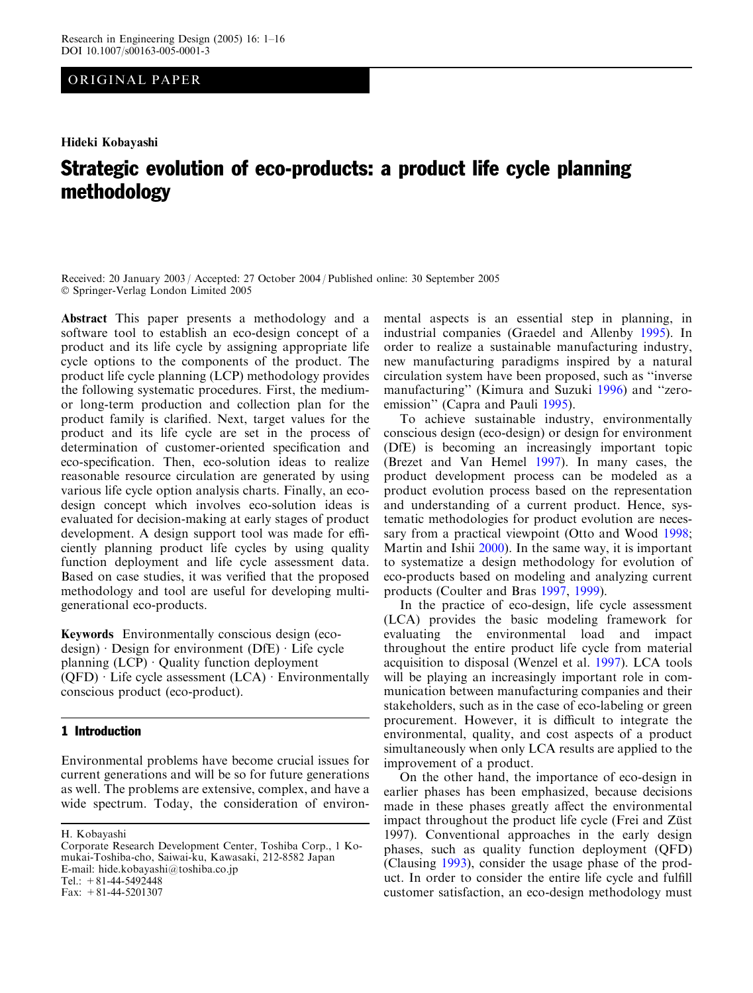# ORIGINAL PAPER

Hideki Kobayashi

# Strategic evolution of eco-products: a product life cycle planning methodology

Received: 20 January 2003 / Accepted: 27 October 2004 / Published online: 30 September 2005 Springer-Verlag London Limited 2005

Abstract This paper presents a methodology and a software tool to establish an eco-design concept of a product and its life cycle by assigning appropriate life cycle options to the components of the product. The product life cycle planning (LCP) methodology provides the following systematic procedures. First, the mediumor long-term production and collection plan for the product family is clarified. Next, target values for the product and its life cycle are set in the process of determination of customer-oriented specification and eco-specification. Then, eco-solution ideas to realize reasonable resource circulation are generated by using various life cycle option analysis charts. Finally, an ecodesign concept which involves eco-solution ideas is evaluated for decision-making at early stages of product development. A design support tool was made for efficiently planning product life cycles by using quality function deployment and life cycle assessment data. Based on case studies, it was verified that the proposed methodology and tool are useful for developing multigenerational eco-products.

Keywords Environmentally conscious design (ecodesign)  $\cdot$  Design for environment (DfE)  $\cdot$  Life cycle planning  $(LCP) \cdot$  Quality function deployment  $(QFD) \cdot$  Life cycle assessment  $(LCA) \cdot$  Environmentally conscious product (eco-product).

## 1 Introduction

Environmental problems have become crucial issues for current generations and will be so for future generations as well. The problems are extensive, complex, and have a wide spectrum. Today, the consideration of environ-

H. Kobayashi

mental aspects is an essential step in planning, in industrial companies (Graedel and Allenby [1995](#page-14-0)). In order to realize a sustainable manufacturing industry, new manufacturing paradigms inspired by a natural circulation system have been proposed, such as ''inverse manufacturing'' (Kimura and Suzuki [1996](#page-14-0)) and ''zeroemission'' (Capra and Pauli [1995\)](#page-14-0).

To achieve sustainable industry, environmentally conscious design (eco-design) or design for environment (DfE) is becoming an increasingly important topic (Brezet and Van Hemel [1997](#page-14-0)). In many cases, the product development process can be modeled as a product evolution process based on the representation and understanding of a current product. Hence, systematic methodologies for product evolution are necessary from a practical viewpoint (Otto and Wood [1998](#page-15-0); Martin and Ishii [2000\)](#page-15-0). In the same way, it is important to systematize a design methodology for evolution of eco-products based on modeling and analyzing current products (Coulter and Bras [1997](#page-14-0), [1999\)](#page-14-0).

In the practice of eco-design, life cycle assessment (LCA) provides the basic modeling framework for evaluating the environmental load and impact throughout the entire product life cycle from material acquisition to disposal (Wenzel et al. [1997\)](#page-15-0). LCA tools will be playing an increasingly important role in communication between manufacturing companies and their stakeholders, such as in the case of eco-labeling or green procurement. However, it is difficult to integrate the environmental, quality, and cost aspects of a product simultaneously when only LCA results are applied to the improvement of a product.

On the other hand, the importance of eco-design in earlier phases has been emphasized, because decisions made in these phases greatly affect the environmental impact throughout the product life cycle (Frei and Züst [1997\)](#page-14-0). Conventional approaches in the early design phases, such as quality function deployment (QFD) (Clausing [1993\)](#page-14-0), consider the usage phase of the product. In order to consider the entire life cycle and fulfill customer satisfaction, an eco-design methodology must

Corporate Research Development Center, Toshiba Corp., 1 Komukai-Toshiba-cho, Saiwai-ku, Kawasaki, 212-8582 Japan E-mail: hide.kobayashi@toshiba.co.jp Tel.:  $+81-44-5492448$ Fax:  $+81-44-5201307$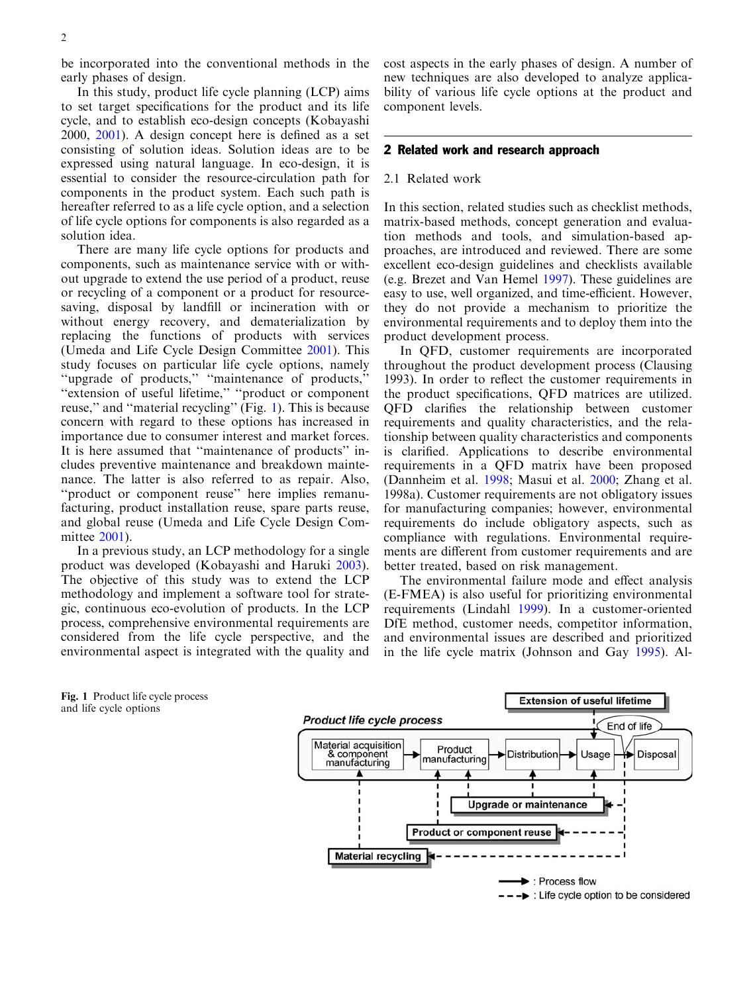be incorporated into the conventional methods in the early phases of design.

In this study, product life cycle planning (LCP) aims to set target specifications for the product and its life cycle, and to establish eco-design concepts (Kobayashi [2000](#page-14-0), [2001\)](#page-14-0). A design concept here is defined as a set consisting of solution ideas. Solution ideas are to be expressed using natural language. In eco-design, it is essential to consider the resource-circulation path for components in the product system. Each such path is hereafter referred to as a life cycle option, and a selection of life cycle options for components is also regarded as a solution idea.

There are many life cycle options for products and components, such as maintenance service with or without upgrade to extend the use period of a product, reuse or recycling of a component or a product for resourcesaving, disposal by landfill or incineration with or without energy recovery, and dematerialization by replacing the functions of products with services (Umeda and Life Cycle Design Committee [2001\)](#page-15-0). This study focuses on particular life cycle options, namely ''upgrade of products,'' ''maintenance of products,'' ''extension of useful lifetime,'' ''product or component reuse," and "material recycling" (Fig. 1). This is because concern with regard to these options has increased in importance due to consumer interest and market forces. It is here assumed that ''maintenance of products'' includes preventive maintenance and breakdown maintenance. The latter is also referred to as repair. Also, ''product or component reuse'' here implies remanufacturing, product installation reuse, spare parts reuse, and global reuse (Umeda and Life Cycle Design Com[mittee](#page-15-0) 2001).

In a previous study, an LCP methodology for a single product was developed (Kobayashi and Haruki [2003\)](#page-14-0). The objective of this study was to extend the LCP methodology and implement a software tool for strategic, continuous eco-evolution of products. In the LCP process, comprehensive environmental requirements are considered from the life cycle perspective, and the environmental aspect is integrated with the quality and cost aspects in the early phases of design. A number of new techniques are also developed to analyze applicability of various life cycle options at the product and component levels.

#### 2 Related work and research approach

#### 2.1 Related work

In this section, related studies such as checklist methods, matrix-based methods, concept generation and evaluation methods and tools, and simulation-based approaches, are introduced and reviewed. There are some excellent eco-design guidelines and checklists available (e.g. Brezet and Van Hemel [1997](#page-14-0)). These guidelines are easy to use, well organized, and time-efficient. However, they do not provide a mechanism to prioritize the environmental requirements and to deploy them into the product development process.

In QFD, customer requirements are incorporated throughout the product development process (Clausing [1993\)](#page-14-0). In order to reflect the customer requirements in the product specifications, QFD matrices are utilized. QFD clarifies the relationship between customer requirements and quality characteristics, and the relationship between quality characteristics and components is clarified. Applications to describe environmental requirements in a QFD matrix have been proposed (Dannheim et al. [1998](#page-14-0); Masui et al. [2000;](#page-15-0) Zhang et al. [1998a\)](#page-15-0). Customer requirements are not obligatory issues for manufacturing companies; however, environmental requirements do include obligatory aspects, such as compliance with regulations. Environmental requirements are different from customer requirements and are better treated, based on risk management.

The environmental failure mode and effect analysis (E-FMEA) is also useful for prioritizing environmental requirements (Lindahl [1999\)](#page-14-0). In a customer-oriented DfE method, customer needs, competitor information, and environmental issues are described and prioritized in the life cycle matrix (Johnson and Gay [1995](#page-14-0)). Al-

Fig. 1 Product life cycle process and life cycle options

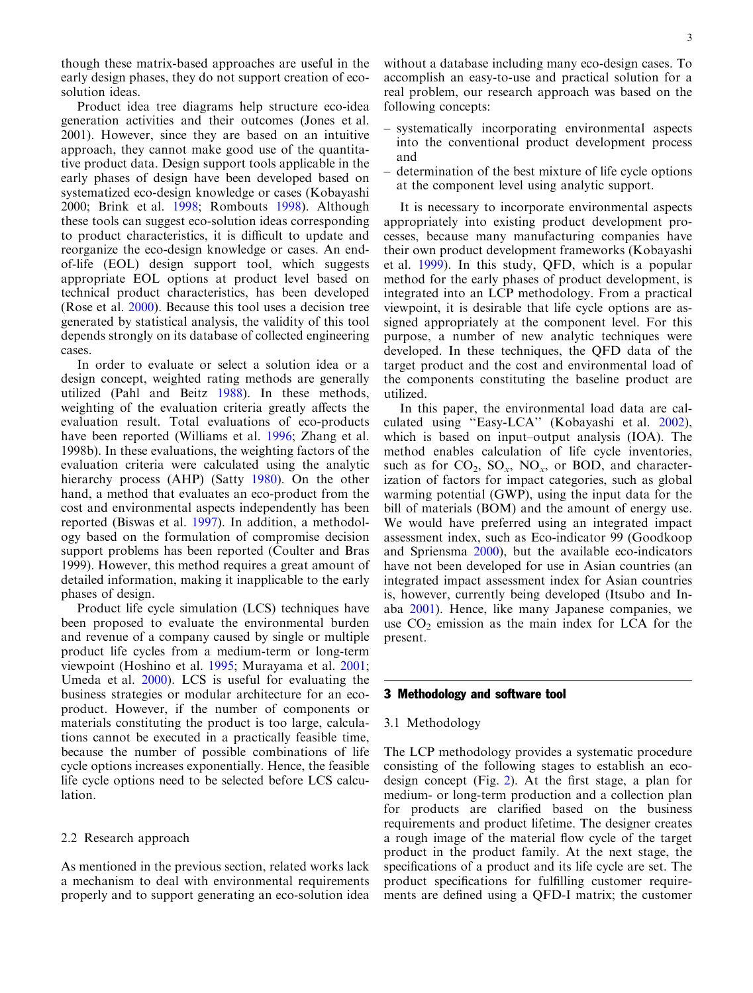though these matrix-based approaches are useful in the early design phases, they do not support creation of ecosolution ideas.

Product idea tree diagrams help structure eco-idea generation activities and their outcomes (Jones et al. [2001](#page-14-0)). However, since they are based on an intuitive approach, they cannot make good use of the quantitative product data. Design support tools applicable in the early phases of design have been developed based on systematized eco-design knowledge or cases (Kobayashi [2000](#page-14-0); Brink et al. [1998;](#page-14-0) Rombouts [1998](#page-15-0)). Although these tools can suggest eco-solution ideas corresponding to product characteristics, it is difficult to update and reorganize the eco-design knowledge or cases. An endof-life (EOL) design support tool, which suggests appropriate EOL options at product level based on technical product characteristics, has been developed (Rose et al. [2000\)](#page-15-0). Because this tool uses a decision tree generated by statistical analysis, the validity of this tool depends strongly on its database of collected engineering cases.

In order to evaluate or select a solution idea or a design concept, weighted rating methods are generally utilized (Pahl and Beitz [1988\)](#page-15-0). In these methods, weighting of the evaluation criteria greatly affects the evaluation result. Total evaluations of eco-products have been reported (Williams et al. [1996;](#page-15-0) Zhang et al. [1998b](#page-15-0)). In these evaluations, the weighting factors of the evaluation criteria were calculated using the analytic hierarchy process (AHP) (Satty [1980\)](#page-15-0). On the other hand, a method that evaluates an eco-product from the cost and environmental aspects independently has been reported (Biswas et al. [1997\)](#page-14-0). In addition, a methodology based on the formulation of compromise decision support problems has been reported (Coulter and Bras [1999](#page-14-0)). However, this method requires a great amount of detailed information, making it inapplicable to the early phases of design.

Product life cycle simulation (LCS) techniques have been proposed to evaluate the environmental burden and revenue of a company caused by single or multiple product life cycles from a medium-term or long-term viewpoint (Hoshino et al. [1995;](#page-14-0) Murayama et al. [2001](#page-15-0); Umeda et al. [2000](#page-15-0)). LCS is useful for evaluating the business strategies or modular architecture for an ecoproduct. However, if the number of components or materials constituting the product is too large, calculations cannot be executed in a practically feasible time, because the number of possible combinations of life cycle options increases exponentially. Hence, the feasible life cycle options need to be selected before LCS calculation.

## 2.2 Research approach

As mentioned in the previous section, related works lack a mechanism to deal with environmental requirements properly and to support generating an eco-solution idea

without a database including many eco-design cases. To accomplish an easy-to-use and practical solution for a real problem, our research approach was based on the following concepts:

- systematically incorporating environmental aspects into the conventional product development process and
- determination of the best mixture of life cycle options at the component level using analytic support.

It is necessary to incorporate environmental aspects appropriately into existing product development processes, because many manufacturing companies have their own product development frameworks (Kobayashi et al. [1999\)](#page-14-0). In this study, QFD, which is a popular method for the early phases of product development, is integrated into an LCP methodology. From a practical viewpoint, it is desirable that life cycle options are assigned appropriately at the component level. For this purpose, a number of new analytic techniques were developed. In these techniques, the QFD data of the target product and the cost and environmental load of the components constituting the baseline product are utilized.

In this paper, the environmental load data are calculated using ''Easy-LCA'' (Kobayashi et al. [2002\)](#page-14-0), which is based on input–output analysis (IOA). The method enables calculation of life cycle inventories, such as for  $CO_2$ ,  $SO_x$ ,  $NO_x$ , or BOD, and characterization of factors for impact categories, such as global warming potential (GWP), using the input data for the bill of materials (BOM) and the amount of energy use. We would have preferred using an integrated impact assessment index, such as Eco-indicator 99 (Goodkoop and Spriensma [2000\)](#page-14-0), but the available eco-indicators have not been developed for use in Asian countries (an integrated impact assessment index for Asian countries is, however, currently being developed (Itsubo and Inaba [2001](#page-14-0)). Hence, like many Japanese companies, we use  $CO<sub>2</sub>$  emission as the main index for LCA for the present.

## 3 Methodology and software tool

#### 3.1 Methodology

The LCP methodology provides a systematic procedure consisting of the following stages to establish an ecodesign concept (Fig. [2\). At the first stage, a plan for](#page-3-0) [medium- or long-term production and a collection plan](#page-3-0) [for products are clarified based on the business](#page-3-0) [requirements and product lifetime. The designer creates](#page-3-0) [a rough image of the material flow cycle of the target](#page-3-0) [product in the product family. At the next stage, the](#page-3-0) [specifications of a product and its life cycle are set. The](#page-3-0) [product specifications for fulfilling customer require](#page-3-0)[ments are defined using a QFD-I matrix; the customer](#page-3-0)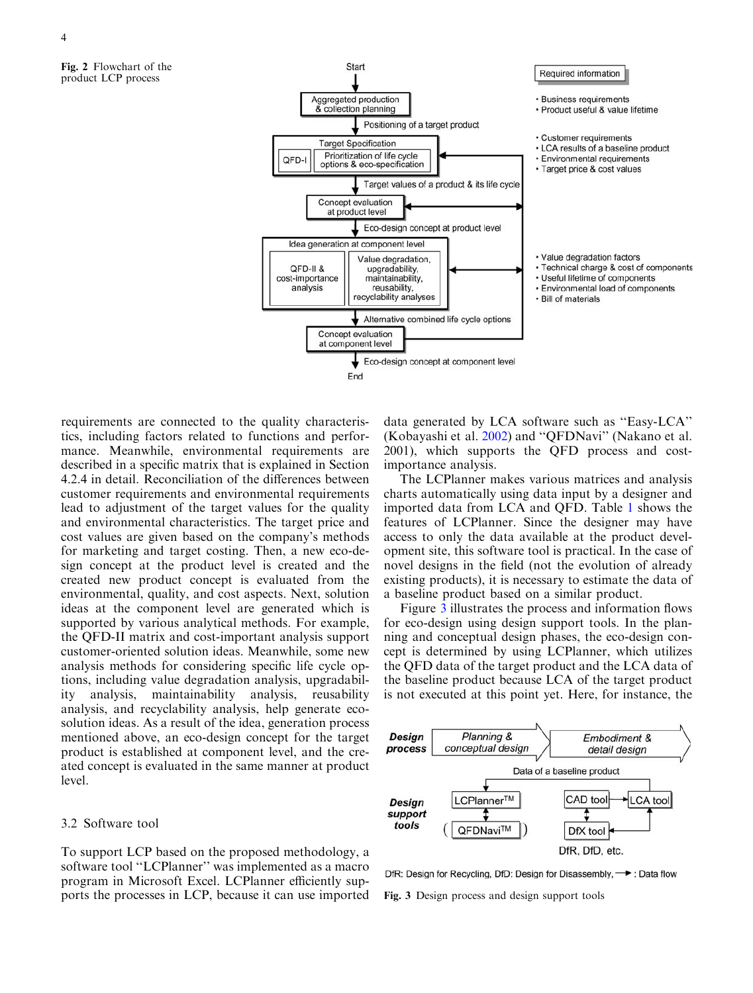<span id="page-3-0"></span>Fig. 2 Flowchart of the product LCP process



requirements are connected to the quality characteristics, including factors related to functions and performance. Meanwhile, environmental requirements are described in a specific matrix that is explained in Section 4.2.4 in detail. Reconciliation of the differences between customer requirements and environmental requirements lead to adjustment of the target values for the quality and environmental characteristics. The target price and cost values are given based on the company's methods for marketing and target costing. Then, a new eco-design concept at the product level is created and the created new product concept is evaluated from the environmental, quality, and cost aspects. Next, solution ideas at the component level are generated which is supported by various analytical methods. For example, the QFD-II matrix and cost-important analysis support customer-oriented solution ideas. Meanwhile, some new analysis methods for considering specific life cycle options, including value degradation analysis, upgradability analysis, maintainability analysis, reusability analysis, and recyclability analysis, help generate ecosolution ideas. As a result of the idea, generation process mentioned above, an eco-design concept for the target product is established at component level, and the created concept is evaluated in the same manner at product level.

## 3.2 Software tool

To support LCP based on the proposed methodology, a software tool ''LCPlanner'' was implemented as a macro program in Microsoft Excel. LCPlanner efficiently supports the processes in LCP, because it can use imported

data generated by LCA software such as ''Easy-LCA'' (Kobayashi et al. [2002](#page-14-0)) and ''QFDNavi'' (Nakano et al. [2001\)](#page-15-0), which supports the QFD process and costimportance analysis.

The LCPlanner makes various matrices and analysis charts automatically using data input by a designer and imported data from LCA and QFD. Table 1 [shows the](#page-4-0) [features of LCPlanner. Since the designer may have](#page-4-0) [access to only the data available at the product devel](#page-4-0)[opment site, this software tool is practical. In the case of](#page-4-0) [novel designs in the field \(not the evolution of already](#page-4-0) [existing products\), it is necessary to estimate the data of](#page-4-0) [a baseline product based on a similar product.](#page-4-0)

Figure 3 illustrates the process and information flows for eco-design using design support tools. In the planning and conceptual design phases, the eco-design concept is determined by using LCPlanner, which utilizes the QFD data of the target product and the LCA data of the baseline product because LCA of the target product is not executed at this point yet. Here, for instance, the



DfR: Design for Recycling, DfD: Design for Disassembly, ->: Data flow

Fig. 3 Design process and design support tools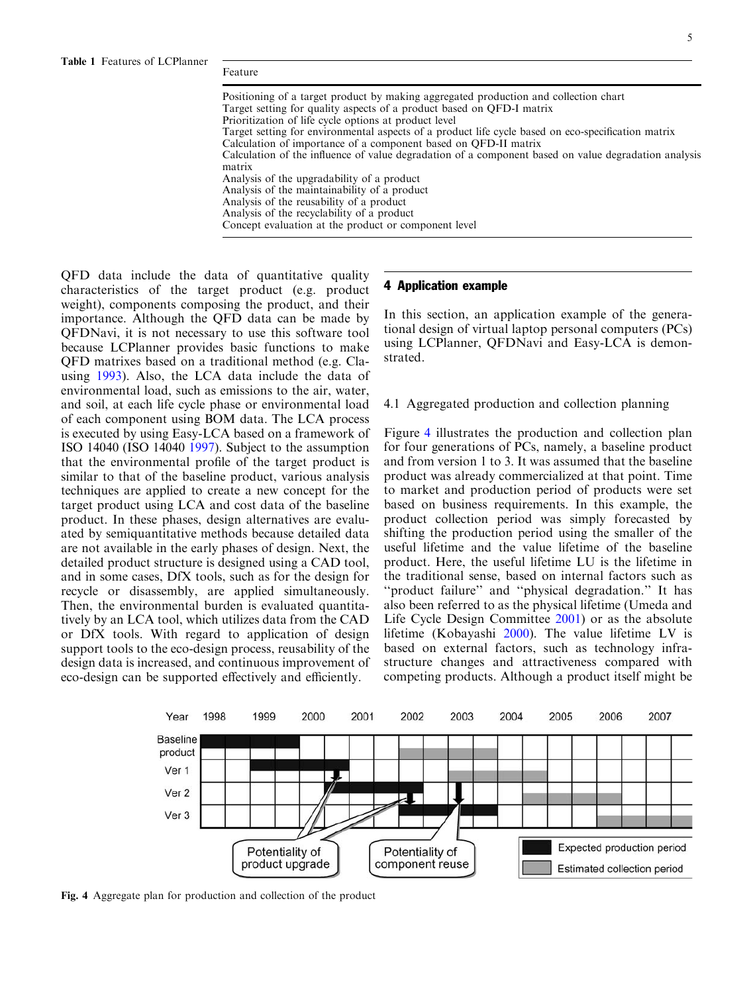<span id="page-4-0"></span>

| Positioning of a target product by making aggregated production and collection chart                 |
|------------------------------------------------------------------------------------------------------|
| Target setting for quality aspects of a product based on OFD-I matrix                                |
| Prioritization of life cycle options at product level                                                |
| Target setting for environmental aspects of a product life cycle based on eco-specification matrix   |
| Calculation of importance of a component based on OFD-II matrix                                      |
| Calculation of the influence of value degradation of a component based on value degradation analysis |
| matrix                                                                                               |
| Analysis of the upgradability of a product                                                           |
| Analysis of the maintainability of a product                                                         |
| Analysis of the reusability of a product                                                             |
| Analysis of the recyclability of a product                                                           |
| Concept evaluation at the product or component level                                                 |
|                                                                                                      |

[QFD data include the data of quantitative quality](#page-3-0) [characteristics of the target product \(e.g. product](#page-3-0) [weight\), components composing the product, and their](#page-3-0) [importance. Although the QFD data can be made by](#page-3-0) [QFDNavi, it is not necessary to use this software tool](#page-3-0) [because LCPlanner provides basic functions to make](#page-3-0) [QFD matrixes based on a traditional method \(e.g. Cla](#page-3-0)[using](#page-14-0) 1993). Also, the LCA data include the data of environmental load, such as emissions to the air, water, and soil, at each life cycle phase or environmental load of each component using BOM data. The LCA process is executed by using Easy-LCA based on a framework of ISO 14040 (ISO 14040 [1997\)](#page-14-0). Subject to the assumption that the environmental profile of the target product is similar to that of the baseline product, various analysis techniques are applied to create a new concept for the target product using LCA and cost data of the baseline product. In these phases, design alternatives are evaluated by semiquantitative methods because detailed data are not available in the early phases of design. Next, the detailed product structure is designed using a CAD tool, and in some cases, DfX tools, such as for the design for recycle or disassembly, are applied simultaneously. Then, the environmental burden is evaluated quantitatively by an LCA tool, which utilizes data from the CAD or DfX tools. With regard to application of design support tools to the eco-design process, reusability of the design data is increased, and continuous improvement of eco-design can be supported effectively and efficiently.

## 4 Application example

In this section, an application example of the generational design of virtual laptop personal computers (PCs) using LCPlanner, QFDNavi and Easy-LCA is demonstrated.

#### 4.1 Aggregated production and collection planning

Figure 4 illustrates the production and collection plan for four generations of PCs, namely, a baseline product and from version 1 to 3. It was assumed that the baseline product was already commercialized at that point. Time to market and production period of products were set based on business requirements. In this example, the product collection period was simply forecasted by shifting the production period using the smaller of the useful lifetime and the value lifetime of the baseline product. Here, the useful lifetime LU is the lifetime in the traditional sense, based on internal factors such as ''product failure'' and ''physical degradation.'' It has also been referred to as the physical lifetime (Umeda and [Life Cycle Design Committee](#page-15-0) 2001) or as the absolute lifetime (Kobayashi [2000](#page-14-0)). The value lifetime LV is based on external factors, such as technology infrastructure changes and attractiveness compared with competing products. Although a product itself might be



Fig. 4 Aggregate plan for production and collection of the product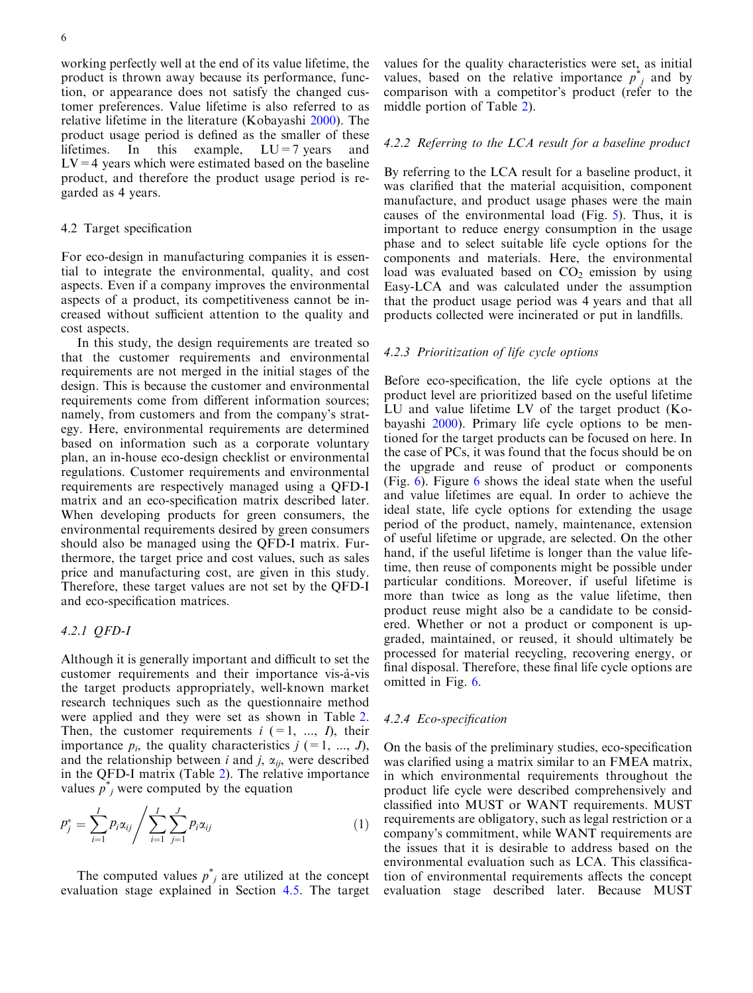working perfectly well at the end of its value lifetime, the product is thrown away because its performance, function, or appearance does not satisfy the changed customer preferences. Value lifetime is also referred to as relative lifetime in the literature (Kobayashi [2000](#page-14-0)). The product usage period is defined as the smaller of these lifetimes. In this example,  $LU=7$  years and  $LV=4$  years which were estimated based on the baseline product, and therefore the product usage period is regarded as 4 years.

## 4.2 Target specification

For eco-design in manufacturing companies it is essential to integrate the environmental, quality, and cost aspects. Even if a company improves the environmental aspects of a product, its competitiveness cannot be increased without sufficient attention to the quality and cost aspects.

In this study, the design requirements are treated so that the customer requirements and environmental requirements are not merged in the initial stages of the design. This is because the customer and environmental requirements come from different information sources; namely, from customers and from the company's strategy. Here, environmental requirements are determined based on information such as a corporate voluntary plan, an in-house eco-design checklist or environmental regulations. Customer requirements and environmental requirements are respectively managed using a QFD-I matrix and an eco-specification matrix described later. When developing products for green consumers, the environmental requirements desired by green consumers should also be managed using the QFD-I matrix. Furthermore, the target price and cost values, such as sales price and manufacturing cost, are given in this study. Therefore, these target values are not set by the QFD-I and eco-specification matrices.

## 4.2.1 QFD-I

Although it is generally important and difficult to set the customer requirements and their importance vis-à-vis the target products appropriately, well-known market research techniques such as the questionnaire method were applied and they were set as shown in Table [2.](#page-6-0) [Then, the customer requirements](#page-6-0)  $i$  (=1, ..., I), their [importance](#page-6-0)  $p_i$ [, the quality characteristics](#page-6-0)  $j$  (=1, ..., J), [and the relationship between](#page-6-0) i and j,  $\alpha_{ii}$ [, were described](#page-6-0) [in the QFD-I matrix \(Table](#page-6-0) 2). The relative importance [values](#page-6-0)  $\vec{p}_j^*$  $\vec{p}_j^*$  $\vec{p}_j^*$  [were computed by the equation](#page-6-0)

$$
p_j^* = \sum_{i=1}^I p_i \alpha_{ij} / \sum_{i=1}^I \sum_{j=1}^J p_i \alpha_{ij}
$$
 (1)

The computed values  $p^*_{j}$  are utilized at the concept evaluation stage explained in Section 4.5. The target

values for the quality characteristics were set, as initial values, based on the relative importance  $p^*$  and by comparison with a competitor's product (refer to the [middle portion of Table](#page-6-0) 2).

## 4.2.2 Referring to the LCA result for a baseline product

By referring to the LCA result for a baseline product, it was clarified that the material acquisition, component manufacture, and product usage phases were the main causes of the environmental load (Fig. [5\). Thus, it is](#page-6-0) [important to reduce energy consumption in the usage](#page-6-0) [phase and to select suitable life cycle options for the](#page-6-0) [components and materials. Here, the environmental](#page-6-0) load was evaluated based on  $CO<sub>2</sub>$  [emission by using](#page-6-0) [Easy-LCA and was calculated under the assumption](#page-6-0) [that the product usage period was 4 years and that all](#page-6-0) [products collected were incinerated or put in landfills.](#page-6-0)

#### 4.2.3 Prioritization of life cycle options

Before eco-specification, the life cycle options at the product level are prioritized based on the useful lifetime LU and value lifetime LV of the target product (Kobayashi [2000\)](#page-14-0). Primary life cycle options to be mentioned for the target products can be focused on here. In the case of PCs, it was found that the focus should be on the upgrade and reuse of product or components (Fig. 6). Figure 6 [shows the ideal state when the useful](#page-7-0) [and value lifetimes are equal. In order to achieve the](#page-7-0) [ideal state, life cycle options for extending the usage](#page-7-0) [period of the product, namely, maintenance, extension](#page-7-0) [of useful lifetime or upgrade, are selected. On the other](#page-7-0) [hand, if the useful lifetime is longer than the value life](#page-7-0)[time, then reuse of components might be possible under](#page-7-0) [particular conditions. Moreover, if useful lifetime is](#page-7-0) [more than twice as long as the value lifetime, then](#page-7-0) [product reuse might also be a candidate to be consid](#page-7-0)[ered. Whether or not a product or component is up](#page-7-0)[graded, maintained, or reused, it should ultimately be](#page-7-0) [processed for material recycling, recovering energy, or](#page-7-0) [final disposal. Therefore, these final life cycle options are](#page-7-0) [omitted in Fig.](#page-7-0) 6.

#### 4.2.4 Eco-specification

On the basis of the preliminary studies, eco-specification was clarified using a matrix similar to an FMEA matrix, in which environmental requirements throughout the product life cycle were described comprehensively and classified into MUST or WANT requirements. MUST requirements are obligatory, such as legal restriction or a company's commitment, while WANT requirements are the issues that it is desirable to address based on the environmental evaluation such as LCA. This classification of environmental requirements affects the concept evaluation stage described later. Because MUST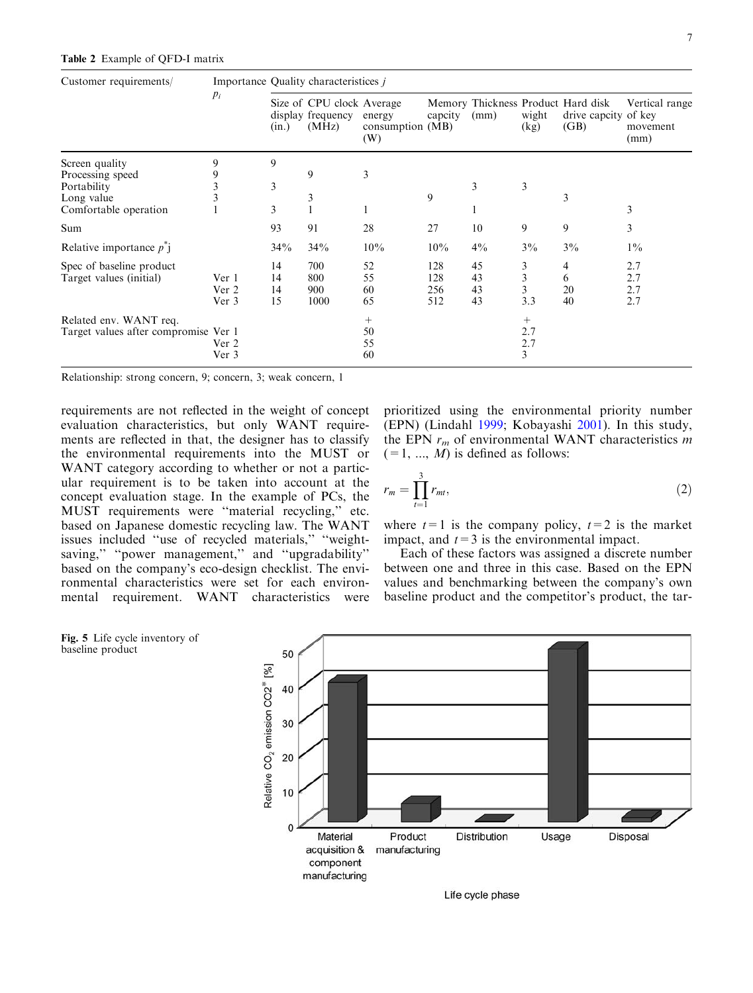<span id="page-6-0"></span>

| Customer requirements/               | $p_i$ | Importance Quality characteristices <i>i</i> |                                                         |                                   |         |       |                |                                                                    |                                    |  |
|--------------------------------------|-------|----------------------------------------------|---------------------------------------------------------|-----------------------------------|---------|-------|----------------|--------------------------------------------------------------------|------------------------------------|--|
|                                      |       | (in.)                                        | Size of CPU clock Average<br>display frequency<br>(MHz) | energy<br>consumption (MB)<br>(W) | capcity | (mm)  | wight<br>(kg)  | Memory Thickness Product Hard disk<br>drive capcity of key<br>(GB) | Vertical range<br>movement<br>(mm) |  |
| Screen quality                       | 9     | 9                                            |                                                         |                                   |         |       |                |                                                                    |                                    |  |
| Processing speed                     |       |                                              | 9                                                       | 3                                 |         |       |                |                                                                    |                                    |  |
| Portability                          |       | 3                                            |                                                         |                                   |         | 3     | 3              |                                                                    |                                    |  |
| Long value                           |       |                                              | 3                                                       |                                   | 9       |       |                | 3                                                                  |                                    |  |
| Comfortable operation                |       | 3                                            |                                                         |                                   |         |       |                |                                                                    | 3                                  |  |
| Sum                                  |       | 93                                           | 91                                                      | 28                                | 27      | 10    | 9              | 9                                                                  | 3                                  |  |
| Relative importance $p^{\dagger}$    |       | 34%                                          | 34%                                                     | 10%                               | 10%     | $4\%$ | $3\%$          | $3\%$                                                              | $1\%$                              |  |
| Spec of baseline product             |       | 14                                           | 700                                                     | 52                                | 128     | 45    | 3              | 4                                                                  | 2.7                                |  |
| Target values (initial)              | Ver 1 | 14                                           | 800                                                     | 55                                | 128     | 43    | 3              | 6                                                                  | 2.7                                |  |
|                                      | Ver 2 | 14                                           | 900                                                     | 60                                | 256     | 43    | $\overline{3}$ | 20                                                                 | 2.7                                |  |
|                                      | Ver 3 | 15                                           | 1000                                                    | 65                                | 512     | 43    | 3.3            | 40                                                                 | 2.7                                |  |
| Related env. WANT req.               |       |                                              |                                                         | $^{+}$                            |         |       | $^+$           |                                                                    |                                    |  |
| Target values after compromise Ver 1 |       |                                              |                                                         | 50                                |         |       | 2.7            |                                                                    |                                    |  |
|                                      | Ver 2 |                                              |                                                         | 55                                |         |       | 2.7            |                                                                    |                                    |  |
|                                      | Ver 3 |                                              |                                                         | 60                                |         |       | 3              |                                                                    |                                    |  |

Relationship: strong concern, 9; concern, 3; weak concern, 1

requirements are not reflected in the weight of concept evaluation characteristics, but only WANT requirements are reflected in that, the designer has to classify the environmental requirements into the MUST or WANT category according to whether or not a particular requirement is to be taken into account at the concept evaluation stage. In the example of PCs, the MUST requirements were ''material recycling,'' etc. based on Japanese domestic recycling law. The WANT issues included ''use of recycled materials,'' ''weightsaving," "power management," and "upgradability" based on the company's eco-design checklist. The environmental characteristics were set for each environmental requirement. WANT characteristics were

prioritized using the environmental priority number (EPN) (Lindahl [1999;](#page-14-0) Kobayashi [2001\)](#page-14-0). In this study, the EPN  $r_m$  of environmental WANT characteristics m  $(=1, ..., M)$  is defined as follows:

$$
r_m = \prod_{t=1}^{3} r_{mt},\tag{2}
$$

where  $t=1$  is the company policy,  $t=2$  is the market impact, and  $t=3$  is the environmental impact.

Each of these factors was assigned a discrete number between one and three in this case. Based on the EPN values and benchmarking between the company's own baseline product and the competitor's product, the tar-



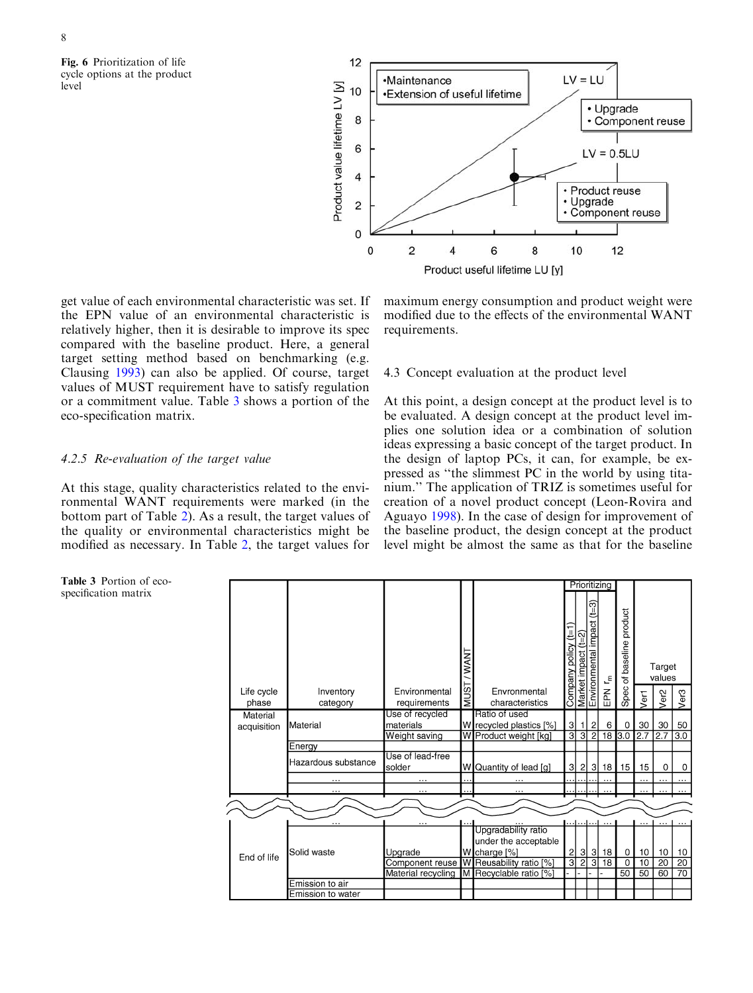<span id="page-7-0"></span>Fig. 6 Prioritization of life cycle options at the product level



get value of each environmental characteristic was set. If the EPN value of an environmental characteristic is relatively higher, then it is desirable to improve its spec compared with the baseline product. Here, a general target setting method based on benchmarking (e.g. Clausing [1993](#page-14-0)) can also be applied. Of course, target values of MUST requirement have to satisfy regulation or a commitment value. Table 3 shows a portion of the eco-specification matrix.

## 4.2.5 Re-evaluation of the target value

At this stage, quality characteristics related to the environmental WANT requirements were marked (in the bottom part of Table [2\). As a result, the target values of](#page-6-0) [the quality or environmental characteristics might be](#page-6-0) [modified as necessary. In Table](#page-6-0) 2, the target values for

[maximum energy consumption and product weight were](#page-6-0) [modified due to the effects of the environmental WANT](#page-6-0) [requirements.](#page-6-0)

## 4.3 Concept evaluation at the product level

At this point, a design concept at the product level is to be evaluated. A design concept at the product level implies one solution idea or a combination of solution ideas expressing a basic concept of the target product. In the design of laptop PCs, it can, for example, be expressed as ''the slimmest PC in the world by using titanium.'' The application of TRIZ is sometimes useful for creation of a novel product concept (Leon-Rovira and Aguayo [1998\)](#page-14-0). In the case of design for improvement of the baseline product, the design concept at the product level might be almost the same as that for the baseline



Table 3 Portion of ecospecification matrix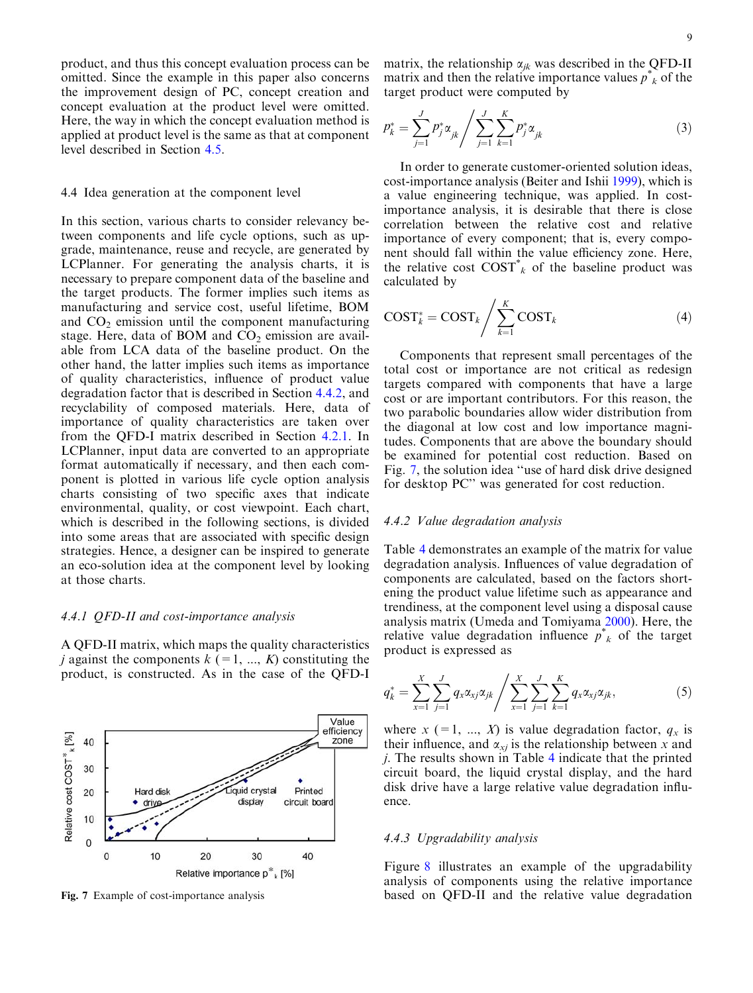product, and thus this concept evaluation process can be omitted. Since the example in this paper also concerns the improvement design of PC, concept creation and concept evaluation at the product level were omitted. Here, the way in which the concept evaluation method is applied at product level is the same as that at component level described in Section 4.5.

## 4.4 Idea generation at the component level

In this section, various charts to consider relevancy between components and life cycle options, such as upgrade, maintenance, reuse and recycle, are generated by LCPlanner. For generating the analysis charts, it is necessary to prepare component data of the baseline and the target products. The former implies such items as manufacturing and service cost, useful lifetime, BOM and  $CO<sub>2</sub>$  emission until the component manufacturing stage. Here, data of BOM and  $CO<sub>2</sub>$  emission are available from LCA data of the baseline product. On the other hand, the latter implies such items as importance of quality characteristics, influence of product value degradation factor that is described in Section 4.4.2, and recyclability of composed materials. Here, data of importance of quality characteristics are taken over from the QFD-I matrix described in Section 4.2.1. In LCPlanner, input data are converted to an appropriate format automatically if necessary, and then each component is plotted in various life cycle option analysis charts consisting of two specific axes that indicate environmental, quality, or cost viewpoint. Each chart, which is described in the following sections, is divided into some areas that are associated with specific design strategies. Hence, a designer can be inspired to generate an eco-solution idea at the component level by looking at those charts.

## 4.4.1 QFD-II and cost-importance analysis

A QFD-II matrix, which maps the quality characteristics j against the components  $k$  (=1, ..., K) constituting the product, is constructed. As in the case of the QFD-I



matrix, the relationship  $\alpha_{jk}$  was described in the QFD-II matrix and then the relative importance values  $p^*_{k}$  of the target product were computed by

$$
p_k^* = \sum_{j=1}^J p_j^* \alpha_{jk} / \sum_{j=1}^J \sum_{k=1}^K p_j^* \alpha_{jk}
$$
 (3)

In order to generate customer-oriented solution ideas, cost-importance analysis (Beiter and Ishii [1999\)](#page-14-0), which is a value engineering technique, was applied. In costimportance analysis, it is desirable that there is close correlation between the relative cost and relative importance of every component; that is, every component should fall within the value efficiency zone. Here, the relative cost  $\text{COST}^*_{k}$  of the baseline product was calculated by

$$
COST_k^* = COST_k / \sum_{k=1}^K COST_k \tag{4}
$$

Components that represent small percentages of the total cost or importance are not critical as redesign targets compared with components that have a large cost or are important contributors. For this reason, the two parabolic boundaries allow wider distribution from the diagonal at low cost and low importance magnitudes. Components that are above the boundary should be examined for potential cost reduction. Based on Fig. 7, the solution idea ''use of hard disk drive designed for desktop PC'' was generated for cost reduction.

## 4.4.2 Value degradation analysis

Table 4 [demonstrates an example of the matrix for value](#page-9-0) [degradation analysis. Influences of value degradation of](#page-9-0) [components are calculated, based on the factors short](#page-9-0)[ening the product value lifetime such as appearance and](#page-9-0) [trendiness, at the component level using a disposal cause](#page-9-0) [analysis matrix \(Umeda and Tomiyama](#page-15-0) 2000). Here, the relative value degradation influence  $p^*_{k}$  of the target product is expressed as

$$
q_k^* = \sum_{x=1}^X \sum_{j=1}^J q_x \alpha_{xj} \alpha_{jk} / \sum_{x=1}^X \sum_{j=1}^J \sum_{k=1}^K q_x \alpha_{xj} \alpha_{jk}, \qquad (5)
$$

where  $x$  (=1, ..., X) is value degradation factor,  $q_x$  is their influence, and  $\alpha_{xj}$  is the relationship between x and  $j$ . The results shown in Table 4 [indicate that the printed](#page-9-0) [circuit board, the liquid crystal display, and the hard](#page-9-0) [disk drive have a large relative value degradation influ](#page-9-0)[ence.](#page-9-0)

#### 4.4.3 Upgradability analysis

Figure 8 [illustrates an example of the upgradability](#page-9-0) [analysis of components using the relative importance](#page-9-0) Fig. 7 Example of cost-importance analysis [based on QFD-II and the relative value degradation](#page-9-0)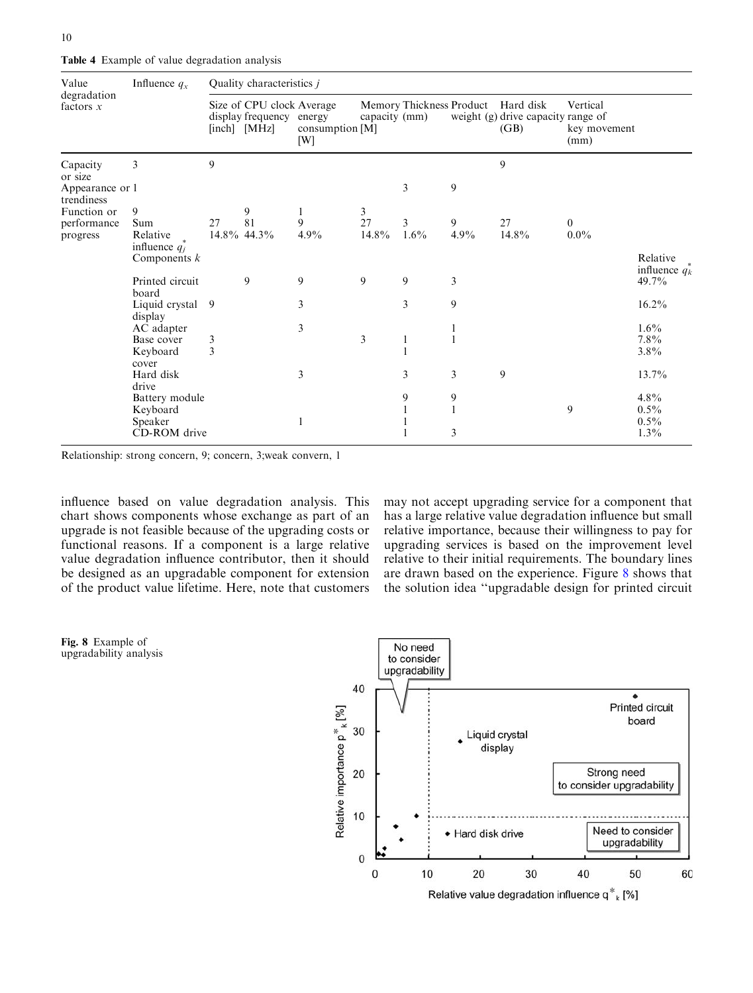<span id="page-9-0"></span>Table 4 Example of value degradation analysis

| Value<br>degradation<br>factors $x$      | Influence $q_x$                     | Quality characteristics $j$ |                                                                       |                        |               |         |              |                                                                                  |                                  |                               |  |
|------------------------------------------|-------------------------------------|-----------------------------|-----------------------------------------------------------------------|------------------------|---------------|---------|--------------|----------------------------------------------------------------------------------|----------------------------------|-------------------------------|--|
|                                          |                                     |                             | Size of CPU clock Average<br>display frequency energy<br>[inch] [MHz] | consumption [M]<br>[W] | capacity (mm) |         |              | Memory Thickness Product Hard disk<br>weight (g) drive capacity range of<br>(GB) | Vertical<br>key movement<br>(mm) |                               |  |
| Capacity                                 | 3                                   | 9                           |                                                                       |                        |               |         |              | 9                                                                                |                                  |                               |  |
| or size<br>Appearance or 1<br>trendiness |                                     |                             |                                                                       |                        |               | 3       | 9            |                                                                                  |                                  |                               |  |
| Function or                              | 9                                   |                             | 9                                                                     | 1                      | 3             |         |              |                                                                                  |                                  |                               |  |
| performance                              | Sum                                 | 27                          | 81                                                                    | 9                      | 27            | 3       | 9            | 27                                                                               | $\overline{0}$                   |                               |  |
| progress                                 | Relative                            | 14.8% 44.3%                 |                                                                       | 4.9%                   | 14.8%         | $1.6\%$ | 4.9%         | 14.8%                                                                            | $0.0\%$                          |                               |  |
|                                          | influence $q_i^*$<br>Components $k$ |                             |                                                                       |                        |               |         |              |                                                                                  |                                  | Relative<br>influence $q_k^*$ |  |
|                                          | Printed circuit<br>board            |                             | 9                                                                     | 9                      | 9             | 9       | 3            |                                                                                  |                                  | 49.7%                         |  |
|                                          | Liquid crystal<br>display           | 9                           |                                                                       | 3                      |               | 3       | 9            |                                                                                  |                                  | $16.2\%$                      |  |
|                                          | AC adapter                          |                             |                                                                       | $\mathfrak{Z}$         |               |         |              |                                                                                  |                                  | $1.6\%$                       |  |
|                                          | Base cover                          | 3                           |                                                                       |                        | 3             | 1       |              |                                                                                  |                                  | $7.8\%$                       |  |
|                                          | Keyboard<br>cover                   | $\overline{3}$              |                                                                       |                        |               |         |              |                                                                                  |                                  | 3.8%                          |  |
|                                          | Hard disk<br>drive                  |                             |                                                                       | 3                      |               | 3       | 3            | 9                                                                                |                                  | $13.7\%$                      |  |
|                                          | Battery module                      |                             |                                                                       |                        |               | 9       | 9            |                                                                                  |                                  | $4.8\%$                       |  |
|                                          | Keyboard                            |                             |                                                                       |                        |               |         | $\mathbf{1}$ |                                                                                  | 9                                | $0.5\%$                       |  |
|                                          | Speaker                             |                             |                                                                       |                        |               |         |              |                                                                                  |                                  | $0.5\%$                       |  |
|                                          | CD-ROM drive                        |                             |                                                                       |                        |               |         | 3            |                                                                                  |                                  | $1.3\%$                       |  |

Relationship: strong concern, 9; concern, 3;weak convern, 1

influence based on value degradation analysis. This chart shows components whose exchange as part of an upgrade is not feasible because of the upgrading costs or functional reasons. If a component is a large relative value degradation influence contributor, then it should be designed as an upgradable component for extension of the product value lifetime. Here, note that customers may not accept upgrading service for a component that has a large relative value degradation influence but small relative importance, because their willingness to pay for upgrading services is based on the improvement level relative to their initial requirements. The boundary lines are drawn based on the experience. Figure 8 shows that the solution idea ''upgradable design for printed circuit



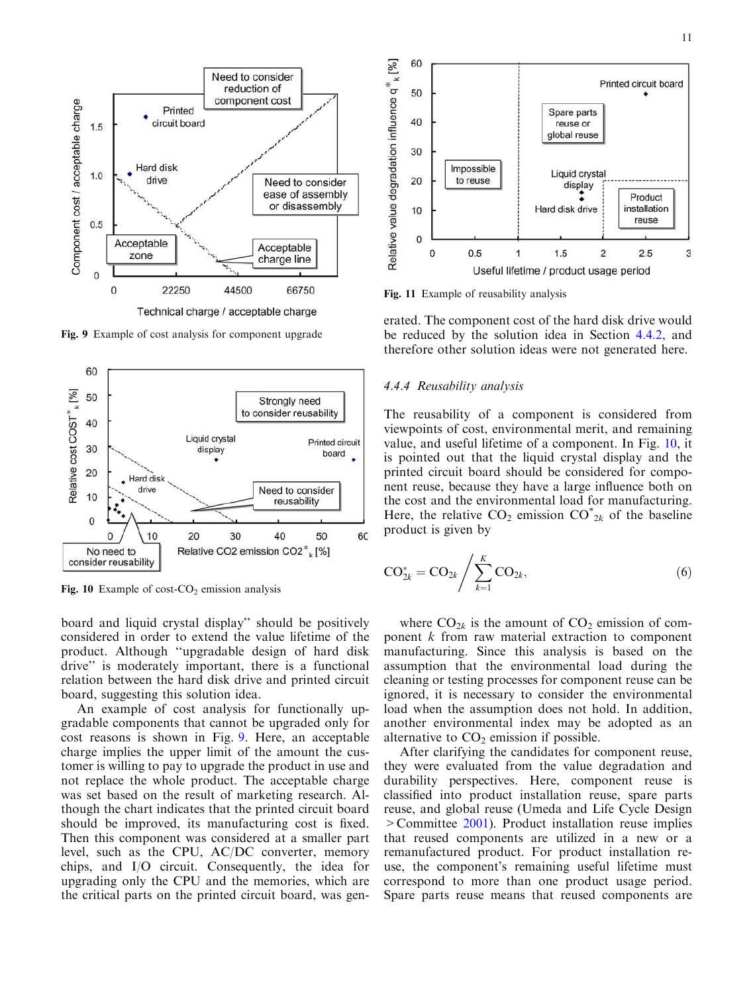<span id="page-10-0"></span>

Fig. 9 Example of cost analysis for component upgrade



Fig. 10 Example of cost- $CO<sub>2</sub>$  emission analysis

[board and liquid crystal display'' should be positively](#page-9-0) [considered in order to extend the value lifetime of the](#page-9-0) [product. Although ''upgradable design of hard disk](#page-9-0) [drive'' is moderately important, there is a functional](#page-9-0) [relation between the hard disk drive and printed circuit](#page-9-0) [board, suggesting this solution idea.](#page-9-0)

An example of cost analysis for functionally upgradable components that cannot be upgraded only for cost reasons is shown in Fig. 9. Here, an acceptable charge implies the upper limit of the amount the customer is willing to pay to upgrade the product in use and not replace the whole product. The acceptable charge was set based on the result of marketing research. Although the chart indicates that the printed circuit board should be improved, its manufacturing cost is fixed. Then this component was considered at a smaller part level, such as the CPU, AC/DC converter, memory chips, and I/O circuit. Consequently, the idea for upgrading only the CPU and the memories, which are the critical parts on the printed circuit board, was gen-



Fig. 11 Example of reusability analysis

erated. The component cost of the hard disk drive would be reduced by the solution idea in Section 4.4.2, and therefore other solution ideas were not generated here.

#### 4.4.4 Reusability analysis

The reusability of a component is considered from viewpoints of cost, environmental merit, and remaining value, and useful lifetime of a component. In Fig. 10, it is pointed out that the liquid crystal display and the printed circuit board should be considered for component reuse, because they have a large influence both on the cost and the environmental load for manufacturing. Here, the relative CO<sub>2</sub> emission CO<sup>\*</sup><sub>2k</sub> of the baseline product is given by

$$
CO_{2k}^* = CO_{2k} / \sum_{k=1}^K CO_{2k},
$$
\n(6)

where  $CO_{2k}$  is the amount of  $CO_2$  emission of component  $k$  from raw material extraction to component manufacturing. Since this analysis is based on the assumption that the environmental load during the cleaning or testing processes for component reuse can be ignored, it is necessary to consider the environmental load when the assumption does not hold. In addition, another environmental index may be adopted as an alternative to  $CO<sub>2</sub>$  emission if possible.

After clarifying the candidates for component reuse, they were evaluated from the value degradation and durability perspectives. Here, component reuse is classified into product installation reuse, spare parts reuse, and global reuse (Umeda and Life Cycle Design >Committee [2001](#page-15-0)). Product installation reuse implies that reused components are utilized in a new or a remanufactured product. For product installation reuse, the component's remaining useful lifetime must correspond to more than one product usage period. Spare parts reuse means that reused components are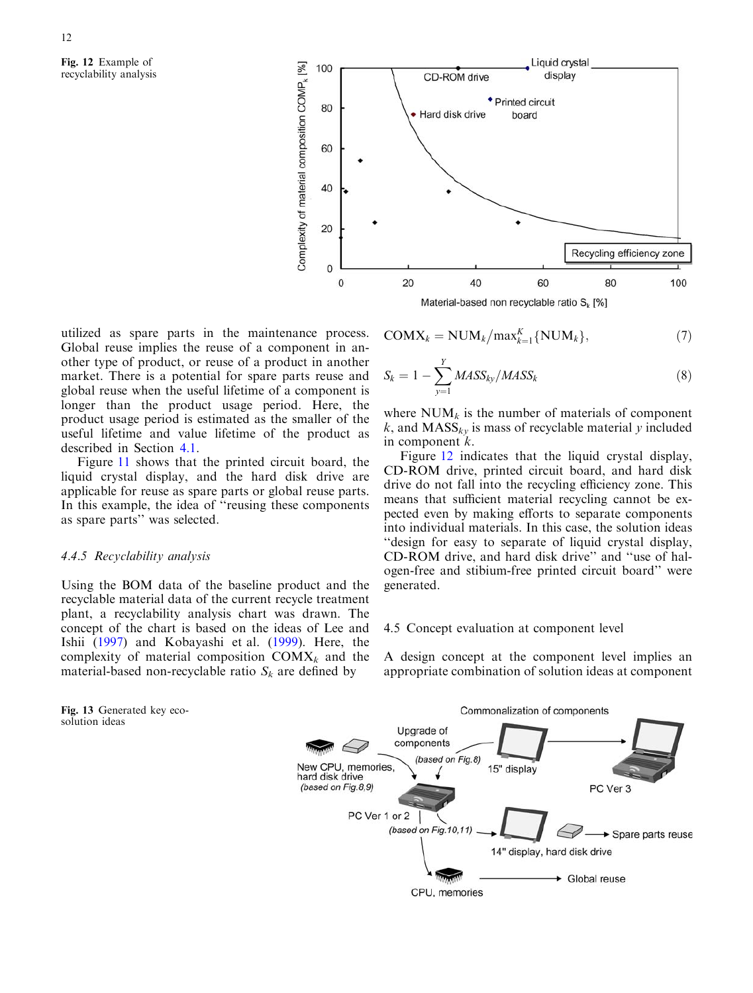<span id="page-11-0"></span>Fig. 12 Example of recyclability analysis



utilized as spare parts in the maintenance process. Global reuse implies the reuse of a component in another type of product, or reuse of a product in another market. There is a potential for spare parts reuse and global reuse when the useful lifetime of a component is longer than the product usage period. Here, the product usage period is estimated as the smaller of the useful lifetime and value lifetime of the product as described in Section 4.1.

Figure 11 [shows that the printed circuit board, the](#page-10-0) [liquid crystal display, and the hard disk drive are](#page-10-0) [applicable for reuse as spare parts or global reuse parts.](#page-10-0) [In this example, the idea of ''reusing these components](#page-10-0) [as spare parts'' was selected.](#page-10-0)

## 4.4.5 Recyclability analysis

Using the BOM data of the baseline product and the recyclable material data of the current recycle treatment plant, a recyclability analysis chart was drawn. The concept of the chart is based on the ideas of Lee and Ishii [\(1997](#page-14-0)) and Kobayashi et al. [\(1999\)](#page-14-0). Here, the complexity of material composition  $COMX_k$  and the material-based non-recyclable ratio  $S_k$  are defined by

$$
COMX_k = NUM_k/max_{k=1}^K\{NUM_k\},\tag{7}
$$

$$
S_k = 1 - \sum_{y=1}^{Y} MASS_{ky}/MASS_k
$$
\n(8)

where  $NUM_k$  is the number of materials of component k, and  $MASS_{kv}$  is mass of recyclable material y included in component k.

Figure 12 indicates that the liquid crystal display, CD-ROM drive, printed circuit board, and hard disk drive do not fall into the recycling efficiency zone. This means that sufficient material recycling cannot be expected even by making efforts to separate components into individual materials. In this case, the solution ideas ''design for easy to separate of liquid crystal display, CD-ROM drive, and hard disk drive'' and ''use of halogen-free and stibium-free printed circuit board'' were generated.

#### 4.5 Concept evaluation at component level

A design concept at the component level implies an appropriate combination of solution ideas at component



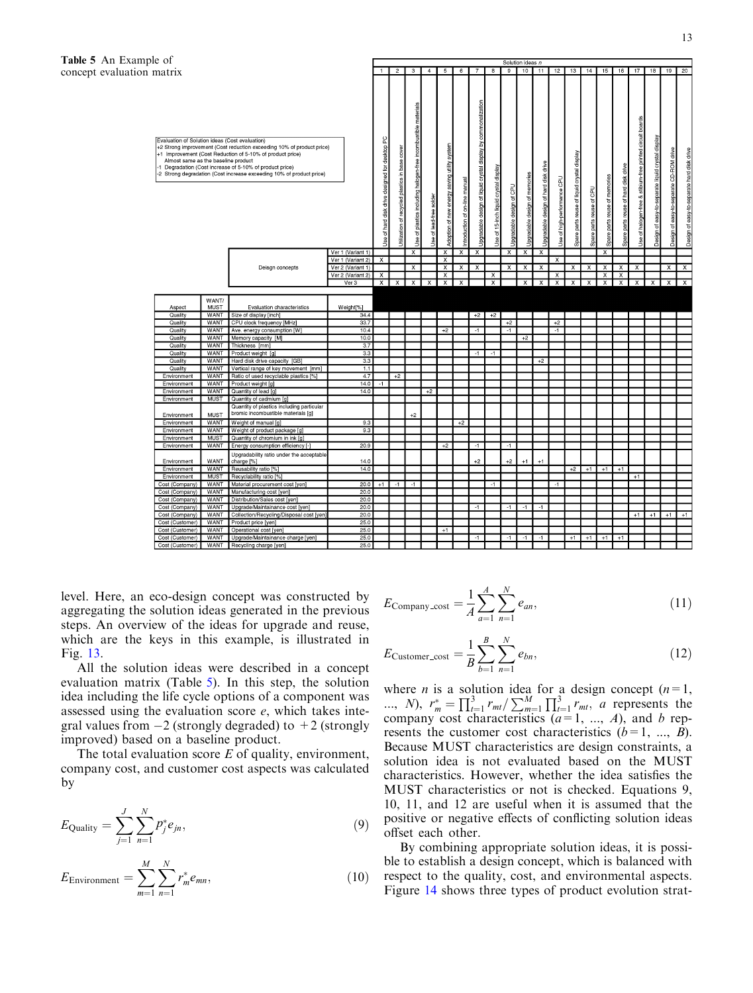

level. Here, an eco-design concept was constructed by aggregating the solution ideas generated in the previous steps. An overview of the ideas for upgrade and reuse, which are the keys in this example, is illustrated in Fig. [13.](#page-11-0)

All the solution ideas were described in a concept evaluation matrix (Table 5). In this step, the solution idea including the life cycle options of a component was assessed using the evaluation score e, which takes integral values from -2 (strongly degraded) to +2 (strongly improved) based on a baseline product.

The total evaluation score  $E$  of quality, environment, company cost, and customer cost aspects was calculated by

$$
E_{\text{Quality}} = \sum_{j=1}^{J} \sum_{n=1}^{N} p_j^* e_{jn},
$$
\n(9)

$$
E_{\text{Environment}} = \sum_{m=1}^{M} \sum_{n=1}^{N} r_m^* e_{mn}, \qquad (10)
$$

$$
E_{\text{ Company-cost}} = \frac{1}{A} \sum_{a=1}^{A} \sum_{n=1}^{N} e_{an},
$$
 (11)

$$
E_{\text{Customer\_cost}} = \frac{1}{B} \sum_{b=1}^{B} \sum_{n=1}^{N} e_{bn},
$$
\n(12)

where *n* is a solution idea for a design concept  $(n=1,$ ..., N),  $r_m^* = \prod_{i=1}^3 r_{mt} / \sum_{m=1}^M \prod_{i=1}^3 r_{mt}$ , a represents the company cost characteristics  $(a=1, ..., A)$ , and b represents the customer cost characteristics  $(b=1, ..., B)$ . Because MUST characteristics are design constraints, a solution idea is not evaluated based on the MUST characteristics. However, whether the idea satisfies the MUST characteristics or not is checked. Equations 9, 10, 11, and 12 are useful when it is assumed that the positive or negative effects of conflicting solution ideas offset each other.

By combining appropriate solution ideas, it is possible to establish a design concept, which is balanced with respect to the quality, cost, and environmental aspects. Figure 14 [shows three types of product evolution strat-](#page-13-0)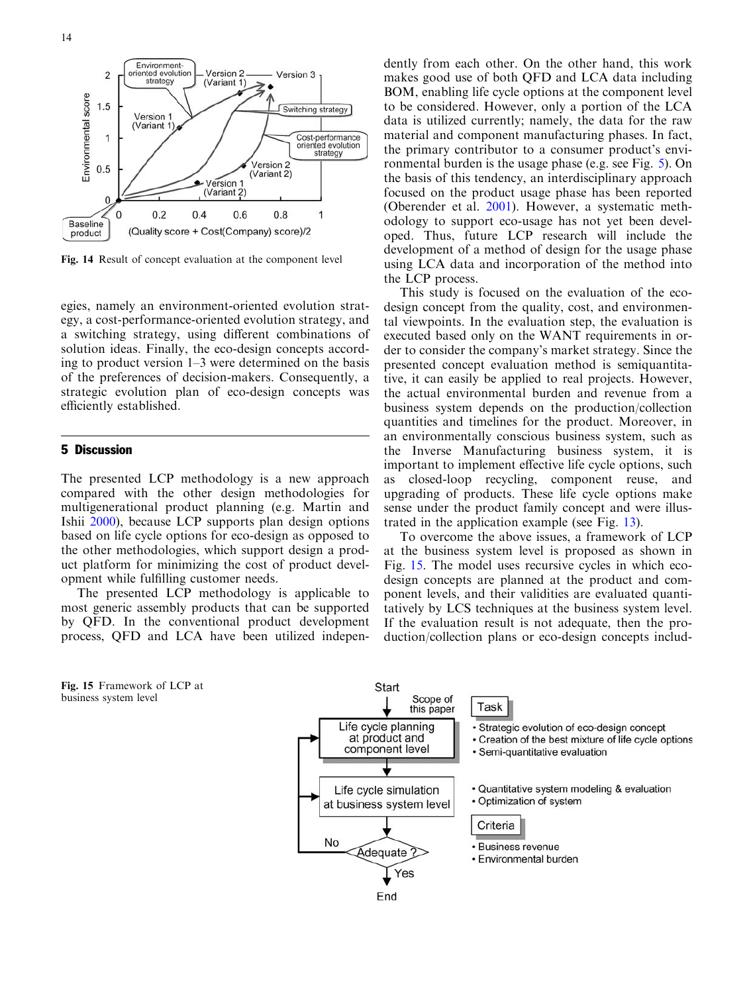<span id="page-13-0"></span>

Fig. 14 Result of concept evaluation at the component level

egies, namely an environment-oriented evolution strategy, a cost-performance-oriented evolution strategy, and a switching strategy, using different combinations of solution ideas. Finally, the eco-design concepts according to product version 1–3 were determined on the basis of the preferences of decision-makers. Consequently, a strategic evolution plan of eco-design concepts was efficiently established.

## 5 Discussion

The presented LCP methodology is a new approach compared with the other design methodologies for multigenerational product planning (e.g. Martin and Ishii [2000](#page-15-0)), because LCP supports plan design options based on life cycle options for eco-design as opposed to the other methodologies, which support design a product platform for minimizing the cost of product development while fulfilling customer needs.

The presented LCP methodology is applicable to most generic assembly products that can be supported by QFD. In the conventional product development process, QFD and LCA have been utilized indepen-

Fig. 15 Framework of LCP at business system level

dently from each other. On the other hand, this work makes good use of both QFD and LCA data including BOM, enabling life cycle options at the component level to be considered. However, only a portion of the LCA data is utilized currently; namely, the data for the raw material and component manufacturing phases. In fact, the primary contributor to a consumer product's environmental burden is the usage phase (e.g. see Fig. [5\). On](#page-6-0) [the basis of this tendency, an interdisciplinary approach](#page-6-0) [focused on the product usage phase has been reported](#page-6-0) [\(Oberender et al.](#page-15-0) 2001). However, a systematic methodology to support eco-usage has not yet been developed. Thus, future LCP research will include the development of a method of design for the usage phase using LCA data and incorporation of the method into the LCP process.

This study is focused on the evaluation of the ecodesign concept from the quality, cost, and environmental viewpoints. In the evaluation step, the evaluation is executed based only on the WANT requirements in order to consider the company's market strategy. Since the presented concept evaluation method is semiquantitative, it can easily be applied to real projects. However, the actual environmental burden and revenue from a business system depends on the production/collection quantities and timelines for the product. Moreover, in an environmentally conscious business system, such as the Inverse Manufacturing business system, it is important to implement effective life cycle options, such as closed-loop recycling, component reuse, and upgrading of products. These life cycle options make sense under the product family concept and were illustrated in the application example (see Fig. [13\).](#page-11-0)

To overcome the above issues, a framework of LCP at the business system level is proposed as shown in Fig. 15. The model uses recursive cycles in which ecodesign concepts are planned at the product and component levels, and their validities are evaluated quantitatively by LCS techniques at the business system level. If the evaluation result is not adequate, then the production/collection plans or eco-design concepts includ-

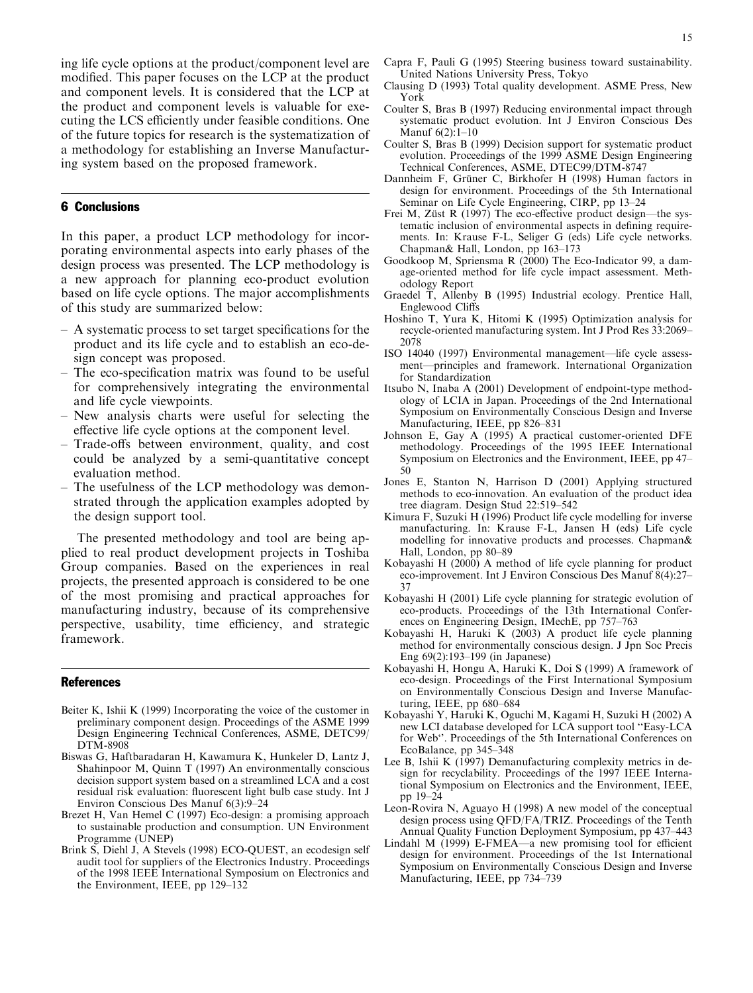<span id="page-14-0"></span>[ing life cycle options at the product/component level are](#page-13-0) [modified. This paper focuses on the LCP at the product](#page-13-0) [and component levels. It is considered that the LCP at](#page-13-0) [the product and component levels is valuable for exe](#page-13-0)[cuting the LCS efficiently under feasible conditions. One](#page-13-0) [of the future topics for research is the systematization of](#page-13-0) [a methodology for establishing an Inverse Manufactur](#page-13-0)[ing system based on the proposed framework.](#page-13-0)

## 6 Conclusions

In this paper, a product LCP methodology for incorporating environmental aspects into early phases of the design process was presented. The LCP methodology is a new approach for planning eco-product evolution based on life cycle options. The major accomplishments of this study are summarized below:

- A systematic process to set target specifications for the product and its life cycle and to establish an eco-design concept was proposed.
- The eco-specification matrix was found to be useful for comprehensively integrating the environmental and life cycle viewpoints.
- New analysis charts were useful for selecting the effective life cycle options at the component level.
- Trade-offs between environment, quality, and cost could be analyzed by a semi-quantitative concept evaluation method.
- The usefulness of the LCP methodology was demonstrated through the application examples adopted by the design support tool.

The presented methodology and tool are being applied to real product development projects in Toshiba Group companies. Based on the experiences in real projects, the presented approach is considered to be one of the most promising and practical approaches for manufacturing industry, because of its comprehensive perspective, usability, time efficiency, and strategic framework.

#### **References**

- Beiter K, Ishii K (1999) Incorporating the voice of the customer in preliminary component design. Proceedings of the ASME 1999 Design Engineering Technical Conferences, ASME, DETC99/ DTM-8908
- Biswas G, Haftbaradaran H, Kawamura K, Hunkeler D, Lantz J, Shahinpoor M, Quinn T (1997) An environmentally conscious decision support system based on a streamlined LCA and a cost residual risk evaluation: fluorescent light bulb case study. Int J Environ Conscious Des Manuf 6(3):9–24
- Brezet H, Van Hemel C (1997) Eco-design: a promising approach to sustainable production and consumption. UN Environment Programme (UNEP)
- Brink S, Diehl J, A Stevels (1998) ECO-QUEST, an ecodesign self audit tool for suppliers of the Electronics Industry. Proceedings of the 1998 IEEE International Symposium on Electronics and the Environment, IEEE, pp 129–132
- Capra F, Pauli G (1995) Steering business toward sustainability. United Nations University Press, Tokyo
- Clausing D (1993) Total quality development. ASME Press, New York
- Coulter S, Bras B (1997) Reducing environmental impact through systematic product evolution. Int J Environ Conscious Des Manuf 6(2):1–10
- Coulter S, Bras B (1999) Decision support for systematic product evolution. Proceedings of the 1999 ASME Design Engineering Technical Conferences, ASME, DTEC99/DTM-8747
- Dannheim F, Grüner C, Birkhofer H (1998) Human factors in design for environment. Proceedings of the 5th International Seminar on Life Cycle Engineering, CIRP, pp 13–24
- Frei M, Züst R (1997) The eco-effective product design—the systematic inclusion of environmental aspects in defining requirements. In: Krause F-L, Seliger G (eds) Life cycle networks. Chapman& Hall, London, pp 163–173
- Goodkoop M, Spriensma R (2000) The Eco-Indicator 99, a damage-oriented method for life cycle impact assessment. Methodology Report
- Graedel T, Allenby B (1995) Industrial ecology. Prentice Hall, Englewood Cliffs
- Hoshino T, Yura K, Hitomi K (1995) Optimization analysis for recycle-oriented manufacturing system. Int J Prod Res 33:2069– 2078
- ISO 14040 (1997) Environmental management—life cycle assessment—principles and framework. International Organization for Standardization
- Itsubo N, Inaba A (2001) Development of endpoint-type methodology of LCIA in Japan. Proceedings of the 2nd International Symposium on Environmentally Conscious Design and Inverse Manufacturing, IEEE, pp 826–831
- Johnson E, Gay A (1995) A practical customer-oriented DFE methodology. Proceedings of the 1995 IEEE International Symposium on Electronics and the Environment, IEEE, pp 47– 50
- Jones E, Stanton N, Harrison D (2001) Applying structured methods to eco-innovation. An evaluation of the product idea tree diagram. Design Stud 22:519–542
- Kimura F, Suzuki H (1996) Product life cycle modelling for inverse manufacturing. In: Krause F-L, Jansen H (eds) Life cycle modelling for innovative products and processes. Chapman& Hall, London, pp 80–89
- Kobayashi H (2000) A method of life cycle planning for product eco-improvement. Int J Environ Conscious Des Manuf 8(4):27– 37
- Kobayashi H (2001) Life cycle planning for strategic evolution of eco-products. Proceedings of the 13th International Conferences on Engineering Design, IMechE, pp 757–763
- Kobayashi H, Haruki K (2003) A product life cycle planning method for environmentally conscious design. J Jpn Soc Precis Eng 69(2):193–199 (in Japanese)
- Kobayashi H, Hongu A, Haruki K, Doi S (1999) A framework of eco-design. Proceedings of the First International Symposium on Environmentally Conscious Design and Inverse Manufacturing, IEEE, pp 680–684
- Kobayashi Y, Haruki K, Oguchi M, Kagami H, Suzuki H (2002) A new LCI database developed for LCA support tool ''Easy-LCA for Web''. Proceedings of the 5th International Conferences on EcoBalance, pp 345–348
- Lee B, Ishii K (1997) Demanufacturing complexity metrics in design for recyclability. Proceedings of the 1997 IEEE International Symposium on Electronics and the Environment, IEEE, pp 19–24
- Leon-Rovira N, Aguayo H (1998) A new model of the conceptual design process using QFD/FA/TRIZ. Proceedings of the Tenth Annual Quality Function Deployment Symposium, pp 437–443
- Lindahl M (1999) E-FMEA—a new promising tool for efficient design for environment. Proceedings of the 1st International Symposium on Environmentally Conscious Design and Inverse Manufacturing, IEEE, pp 734–739